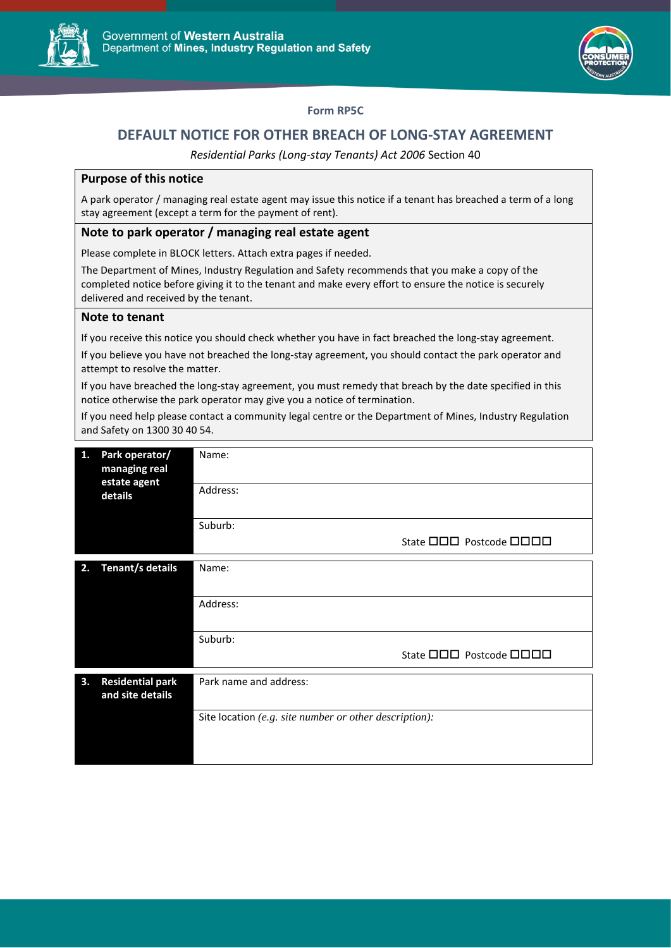



# **Form RP5C**

# **DEFAULT NOTICE FOR OTHER BREACH OF LONG-STAY AGREEMENT**

*Residential Parks (Long-stay Tenants) Act 2006* Section 40

### **Purpose of this notice**

A park operator / managing real estate agent may issue this notice if a tenant has breached a term of a long stay agreement (except a term for the payment of rent).

#### **Note to park operator / managing real estate agent**

Please complete in BLOCK letters. Attach extra pages if needed.

The Department of Mines, Industry Regulation and Safety recommends that you make a copy of the completed notice before giving it to the tenant and make every effort to ensure the notice is securely delivered and received by the tenant.

# **Note to tenant**

If you receive this notice you should check whether you have in fact breached the long-stay agreement.

If you believe you have not breached the long-stay agreement, you should contact the park operator and attempt to resolve the matter.

If you have breached the long-stay agreement, you must remedy that breach by the date specified in this notice otherwise the park operator may give you a notice of termination.

If you need help please contact a community legal centre or the Department of Mines, Industry Regulation and Safety on 1300 30 40 54.

| 1. | Park operator/<br>managing real<br>estate agent<br>details | Name:                                                  |  |  |
|----|------------------------------------------------------------|--------------------------------------------------------|--|--|
|    |                                                            | Address:                                               |  |  |
|    |                                                            | Suburb:                                                |  |  |
|    |                                                            | State <b>OOO</b> Postcode <b>OOOO</b>                  |  |  |
| 2. | Tenant/s details                                           | Name:                                                  |  |  |
|    |                                                            | Address:                                               |  |  |
|    |                                                            |                                                        |  |  |
|    |                                                            | Suburb:                                                |  |  |
|    |                                                            | State <b>OOO</b> Postcode <b>OOOO</b>                  |  |  |
| 3. | <b>Residential park</b><br>and site details                | Park name and address:                                 |  |  |
|    |                                                            | Site location (e.g. site number or other description): |  |  |
|    |                                                            |                                                        |  |  |